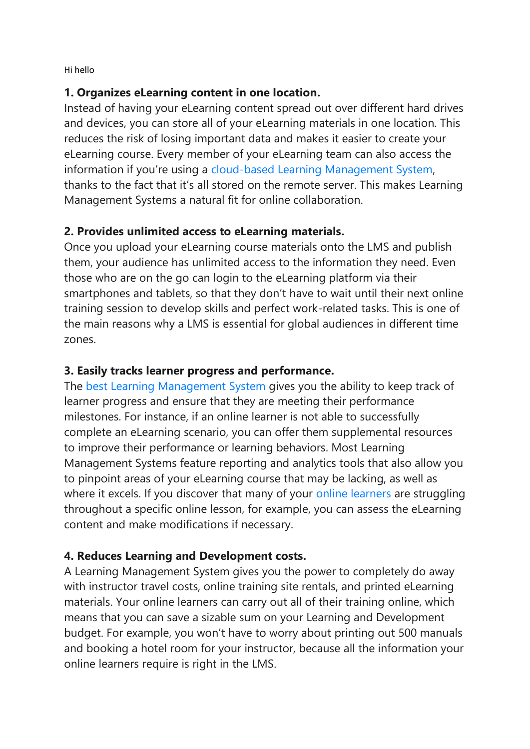Hi hello

#### **1. Organizes eLearning content in one location.**

Instead of having your eLearning content spread out over different hard drives and devices, you can store all of your eLearning materials in one location. This reduces the risk of losing important data and makes it easier to create your eLearning course. Every member of your eLearning team can also access the information if you're using a [cloud-based Learning Management System,](https://elearningindustry.com/the-ultimate-list-of-cloud-based-learning-management-systems) thanks to the fact that it's all stored on the remote server. This makes Learning Management Systems a natural fit for online collaboration.

## **2. Provides unlimited access to eLearning materials.**

Once you upload your eLearning course materials onto the LMS and publish them, your audience has unlimited access to the information they need. Even those who are on the go can login to the eLearning platform via their smartphones and tablets, so that they don't have to wait until their next online training session to develop skills and perfect work-related tasks. This is one of the main reasons why a LMS is essential for global audiences in different time zones.

# **3. Easily tracks learner progress and performance.**

The [best Learning Management System](https://elearningindustry.com/11-tips-choosing-best-learning-management-system) gives you the ability to keep track of learner progress and ensure that they are meeting their performance milestones. For instance, if an online learner is not able to successfully complete an eLearning scenario, you can offer them supplemental resources to improve their performance or learning behaviors. Most Learning Management Systems feature reporting and analytics tools that also allow you to pinpoint areas of your eLearning course that may be lacking, as well as where it excels. If you discover that many of your [online learners](https://elearningindustry.com/10-questions-to-get-to-know-your-online-learners) are struggling throughout a specific online lesson, for example, you can assess the eLearning content and make modifications if necessary.

## **4. Reduces Learning and Development costs.**

A Learning Management System gives you the power to completely do away with instructor travel costs, online training site rentals, and printed eLearning materials. Your online learners can carry out all of their training online, which means that you can save a sizable sum on your Learning and Development budget. For example, you won't have to worry about printing out 500 manuals and booking a hotel room for your instructor, because all the information your online learners require is right in the LMS.